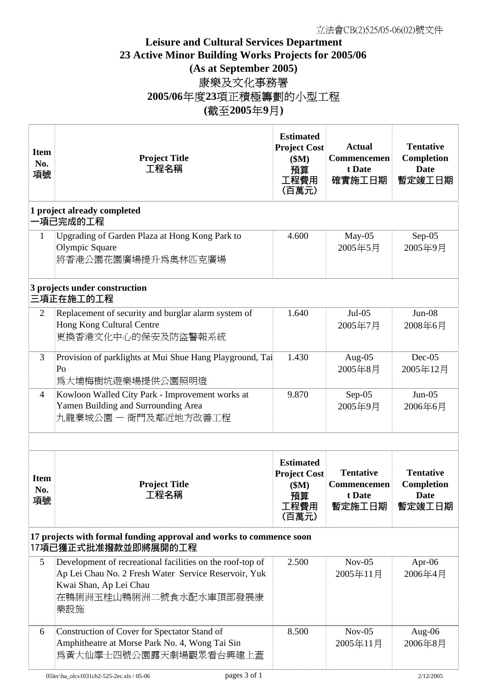## **Leisure and Cultural Services Department 23 Active Minor Building Works Projects for 2005/06 (As at September 2005)** 康樂及文化事務署 **2005/06**年度**23**項正積極籌劃的小型工程 **(**截至**2005**年**9**月**)**

| <b>Item</b><br>No.<br>項號                                                                   | <b>Project Title</b><br>工程名稱                                                                                                                                                 | <b>Estimated</b><br><b>Project Cost</b><br>\$M\$<br>預算<br>工程費用<br>(百萬元) | <b>Actual</b><br>Commencemen<br>t Date<br>確實施工日期    | <b>Tentative</b><br><b>Completion</b><br><b>Date</b><br>暫定竣工日期 |  |  |  |
|--------------------------------------------------------------------------------------------|------------------------------------------------------------------------------------------------------------------------------------------------------------------------------|-------------------------------------------------------------------------|-----------------------------------------------------|----------------------------------------------------------------|--|--|--|
| 1 project already completed<br>−項已完成的工程                                                    |                                                                                                                                                                              |                                                                         |                                                     |                                                                |  |  |  |
| $\mathbf{1}$                                                                               | Upgrading of Garden Plaza at Hong Kong Park to<br>Olympic Square<br>將香港公園花園廣場提升爲奧林匹克廣場                                                                                       | 4.600                                                                   | May-05<br>2005年5月                                   | $Sep-05$<br>2005年9月                                            |  |  |  |
| 3 projects under construction<br>三項正在施工的工程                                                 |                                                                                                                                                                              |                                                                         |                                                     |                                                                |  |  |  |
| $\overline{2}$                                                                             | Replacement of security and burglar alarm system of<br>Hong Kong Cultural Centre<br>更換香港文化中心的保安及防盜警報系統                                                                       | 1.640                                                                   | $Jul-05$<br>2005年7月                                 | $Jun-08$<br>2008年6月                                            |  |  |  |
| $\overline{3}$                                                                             | Provision of parklights at Mui Shue Hang Playground, Tai<br>Po<br>爲大埔梅樹坑遊樂場提供公園照明燈                                                                                           | 1.430                                                                   | Aug- $05$<br>2005年8月                                | $Dec-05$<br>2005年12月                                           |  |  |  |
| $\overline{4}$                                                                             | Kowloon Walled City Park - Improvement works at<br>Yamen Building and Surrounding Area<br>九龍寨城公園 - 衙門及鄰近地方改善工程                                                               | 9.870                                                                   | Sep-05<br>2005年9月                                   | $Jun-05$<br>2006年6月                                            |  |  |  |
|                                                                                            |                                                                                                                                                                              |                                                                         |                                                     |                                                                |  |  |  |
| <b>Item</b><br>No.<br>項號                                                                   | <b>Project Title</b><br>工程名稱                                                                                                                                                 | <b>Estimated</b><br><b>Project Cost</b><br>\$M\$<br>預算<br>工程費用<br>(百萬元) | <b>Tentative</b><br>Commencemen<br>t Date<br>暫定施工日期 | <b>Tentative</b><br><b>Completion</b><br><b>Date</b><br>暫定竣工日期 |  |  |  |
| 17 projects with formal funding approval and works to commence soon<br>17項已獲正式批准撥款並即將展開的工程 |                                                                                                                                                                              |                                                                         |                                                     |                                                                |  |  |  |
| 5                                                                                          | Development of recreational facilities on the roof-top of<br>Ap Lei Chau No. 2 Fresh Water Service Reservoir, Yuk<br>Kwai Shan, Ap Lei Chau<br>在鴨脷洲玉桂山鴨脷洲二號食水配水庫頂部發展康<br>樂設施 | 2.500                                                                   | $Nov-05$<br>2005年11月                                | Apr- $06$<br>2006年4月                                           |  |  |  |
| 6                                                                                          | Construction of Cover for Spectator Stand of<br>Amphitheatre at Morse Park No. 4, Wong Tai Sin<br>爲黃大仙摩士四號公園露天劇場觀眾看台興建上蓋                                                     | 8.500                                                                   | $Nov-05$<br>2005年11月                                | Aug-06<br>2006年8月                                              |  |  |  |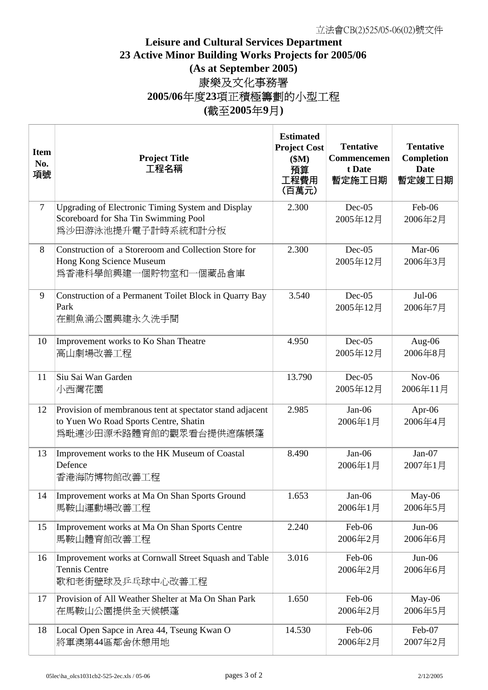## **Leisure and Cultural Services Department 23 Active Minor Building Works Projects for 2005/06 (As at September 2005)** 康樂及文化事務署 **2005/06**年度**23**項正積極籌劃的小型工程 **(**截至**2005**年**9**月**)**

| <b>Item</b><br>No.<br>項號 | <b>Project Title</b><br>工程名稱                                                                                                | <b>Estimated</b><br><b>Project Cost</b><br>\$M\$<br>預算<br>工程費用<br>(百萬元) | <b>Tentative</b><br><b>Commencemen</b><br>t Date<br>暫定施工日期 | <b>Tentative</b><br>Completion<br><b>Date</b><br>暫定竣工日期 |
|--------------------------|-----------------------------------------------------------------------------------------------------------------------------|-------------------------------------------------------------------------|------------------------------------------------------------|---------------------------------------------------------|
| $\overline{7}$           | <b>Upgrading of Electronic Timing System and Display</b><br>Scoreboard for Sha Tin Swimming Pool<br>爲沙田游泳池提升電子計時系統和計分板      | 2.300                                                                   | $Dec-05$<br>2005年12月                                       | Feb-06<br>2006年2月                                       |
| 8                        | Construction of a Storeroom and Collection Store for<br>Hong Kong Science Museum<br>爲香港科學館興建一個貯物室和一個藏品倉庫                    | 2.300                                                                   | $Dec-05$<br>2005年12月                                       | Mar-06<br>2006年3月                                       |
| 9                        | Construction of a Permanent Toilet Block in Quarry Bay<br>Park<br>在鰂魚涌公園興建永久洗手間                                             | 3.540                                                                   | $Dec-05$<br>2005年12月                                       | $Jul-06$<br>2006年7月                                     |
| 10                       | Improvement works to Ko Shan Theatre<br>高山劇場改善工程                                                                            | 4.950                                                                   | $Dec-05$<br>2005年12月                                       | Aug-06<br>2006年8月                                       |
| 11                       | Siu Sai Wan Garden<br>小西灣花園                                                                                                 | 13.790                                                                  | $Dec-05$<br>2005年12月                                       | $Nov-06$<br>2006年11月                                    |
| 12                       | Provision of membranous tent at spectator stand adjacent<br>to Yuen Wo Road Sports Centre, Shatin<br>爲毗連沙田源禾路體育館的觀眾看台提供遮蔭帳篷 | 2.985                                                                   | $Jan-06$<br>2006年1月                                        | Apr- $06$<br>2006年4月                                    |
| 13                       | Improvement works to the HK Museum of Coastal<br>Defence<br>香港海防博物館改善工程                                                     | 8.490                                                                   | $Jan-06$<br>2006年1月                                        | $Jan-07$<br>2007年1月                                     |
| 14                       | Improvement works at Ma On Shan Sports Ground<br>馬鞍山運動場改善工程                                                                 | 1.653                                                                   | Jan-06<br>2006年1月                                          | May-06<br>2006年5月                                       |
| 15                       | Improvement works at Ma On Shan Sports Centre<br>馬鞍山體育館改善工程                                                                 | 2.240                                                                   | Feb-06<br>2006年2月                                          | Jun-06<br>2006年6月                                       |
| 16                       | Improvement works at Cornwall Street Squash and Table<br>Tennis Centre<br>歌和老街壁球及乒乓球中心改善工程                                  | 3.016                                                                   | Feb-06<br>2006年2月                                          | Jun-06<br>2006年6月                                       |
| 17                       | Provision of All Weather Shelter at Ma On Shan Park<br>在馬鞍山公園提供全天候帳蓬                                                        | 1.650                                                                   | Feb-06<br>2006年2月                                          | May-06<br>2006年5月                                       |
| 18                       | Local Open Sapce in Area 44, Tseung Kwan O<br>將軍澳第44區鄰舍休憩用地                                                                 | 14.530                                                                  | Feb-06<br>2006年2月                                          | Feb-07<br>2007年2月                                       |